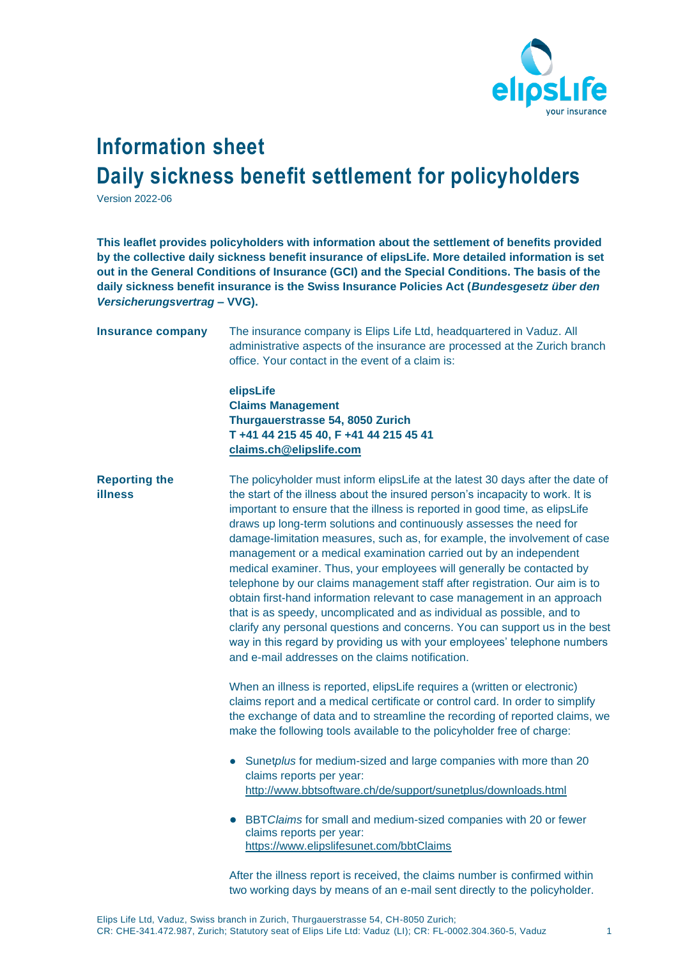

## **Information sheet Daily sickness benefit settlement for policyholders**

Version 2022-06

**This leaflet provides policyholders with information about the settlement of benefits provided by the collective daily sickness benefit insurance of elipsLife. More detailed information is set out in the General Conditions of Insurance (GCI) and the Special Conditions. The basis of the daily sickness benefit insurance is the Swiss Insurance Policies Act (***Bundesgesetz über den Versicherungsvertrag* **– VVG).**

| <b>Insurance company</b>               | The insurance company is Elips Life Ltd, headquartered in Vaduz. All<br>administrative aspects of the insurance are processed at the Zurich branch<br>office. Your contact in the event of a claim is:<br>elipsLife<br><b>Claims Management</b><br>Thurgauerstrasse 54, 8050 Zurich<br>T +41 44 215 45 40, F +41 44 215 45 41                                                                                                                                                                                                                                                                                                                                                                                                                                                                                                                                                                                                                                                                        |
|----------------------------------------|------------------------------------------------------------------------------------------------------------------------------------------------------------------------------------------------------------------------------------------------------------------------------------------------------------------------------------------------------------------------------------------------------------------------------------------------------------------------------------------------------------------------------------------------------------------------------------------------------------------------------------------------------------------------------------------------------------------------------------------------------------------------------------------------------------------------------------------------------------------------------------------------------------------------------------------------------------------------------------------------------|
|                                        | claims.ch@elipslife.com                                                                                                                                                                                                                                                                                                                                                                                                                                                                                                                                                                                                                                                                                                                                                                                                                                                                                                                                                                              |
| <b>Reporting the</b><br><b>illness</b> | The policyholder must inform elipsLife at the latest 30 days after the date of<br>the start of the illness about the insured person's incapacity to work. It is<br>important to ensure that the illness is reported in good time, as elipsLife<br>draws up long-term solutions and continuously assesses the need for<br>damage-limitation measures, such as, for example, the involvement of case<br>management or a medical examination carried out by an independent<br>medical examiner. Thus, your employees will generally be contacted by<br>telephone by our claims management staff after registration. Our aim is to<br>obtain first-hand information relevant to case management in an approach<br>that is as speedy, uncomplicated and as individual as possible, and to<br>clarify any personal questions and concerns. You can support us in the best<br>way in this regard by providing us with your employees' telephone numbers<br>and e-mail addresses on the claims notification. |
|                                        | When an illness is reported, elipsLife requires a (written or electronic)<br>claims report and a medical certificate or control card. In order to simplify<br>the exchange of data and to streamline the recording of reported claims, we<br>make the following tools available to the policyholder free of charge:<br>Sunetplus for medium-sized and large companies with more than 20                                                                                                                                                                                                                                                                                                                                                                                                                                                                                                                                                                                                              |
|                                        | claims reports per year:<br>http://www.bbtsoftware.ch/de/support/sunetplus/downloads.html                                                                                                                                                                                                                                                                                                                                                                                                                                                                                                                                                                                                                                                                                                                                                                                                                                                                                                            |
|                                        | BBT Claims for small and medium-sized companies with 20 or fewer<br>$\bullet$<br>claims reports per year:<br>https://www.elipslifesunet.com/bbtClaims                                                                                                                                                                                                                                                                                                                                                                                                                                                                                                                                                                                                                                                                                                                                                                                                                                                |
|                                        | After the illness report is received, the claims number is confirmed within<br>two working days by means of an e-mail sent directly to the policyholder.                                                                                                                                                                                                                                                                                                                                                                                                                                                                                                                                                                                                                                                                                                                                                                                                                                             |